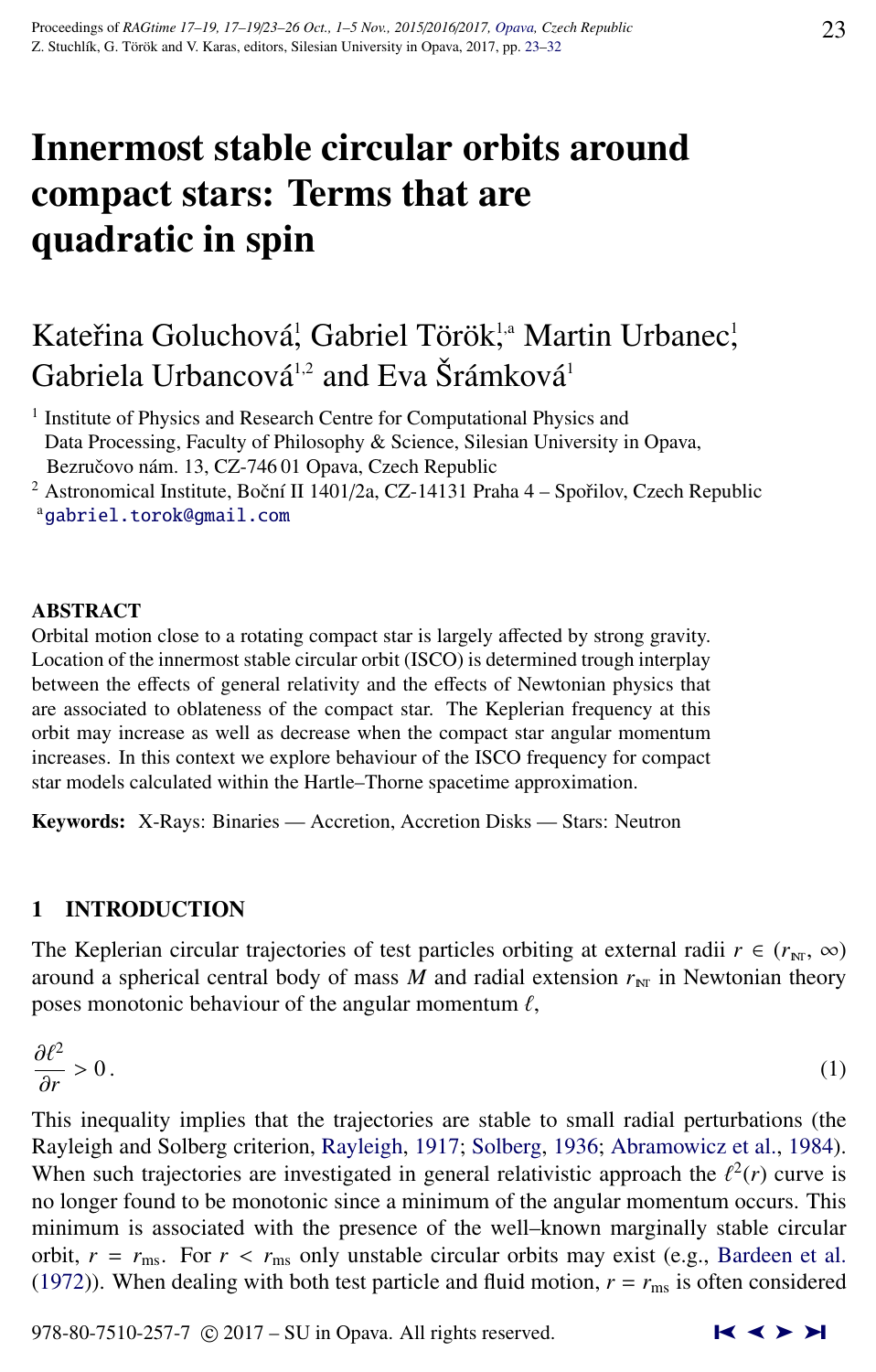# Innermost stable circular orbits around compact stars: Terms that are quadratic in spin

# Kateřina Goluchová<sup>!</sup>, Gabriel Török<sup>!,a</sup> Martin Urbanec<sup>!</sup>, Gabriela Urbancová<sup>1,2</sup> and Eva Šrámková<sup>1</sup>

<sup>1</sup> Institute of Physics and Research Centre for Computational Physics and Data Processing, Faculty of Philosophy & Science, Silesian University in Opava, Bezručovo nám. 13, CZ-74601 Opava, Czech Republic

<sup>2</sup> Astronomical Institute, Boční II 1401/2a, CZ-14131 Praha  $4$  – Spořilov, Czech Republic <sup>a</sup>[gabriel.torok@gmail.com](http://www.physics.cz/ gabriel.torok@gmail.com)

#### ABSTRACT

Orbital motion close to a rotating compact star is largely affected by strong gravity. Location of the innermost stable circular orbit (ISCO) is determined trough interplay between the effects of general relativity and the effects of Newtonian physics that are associated to oblateness of the compact star. The Keplerian frequency at this orbit may increase as well as decrease when the compact star angular momentum increases. In this context we explore behaviour of the ISCO frequency for compact star models calculated within the Hartle–Thorne spacetime approximation.

Keywords: X-Rays: Binaries — Accretion, Accretion Disks — Stars: Neutron

#### 1 INTRODUCTION

The Keplerian circular trajectories of test particles orbiting at external radii  $r \in (r_{\text{NT}}, \infty)$ around a spherical central body of mass  $M$  and radial extension  $r_{NT}$  in Newtonian theory poses monotonic behaviour of the angular momentum  $\ell$ ,

$$
\frac{\partial \ell^2}{\partial r} > 0.
$$
 (1)

This inequality implies that the trajectories are stable to small radial perturbations (the Rayleigh and Solberg criterion, [Rayleigh,](#page-9-0) [1917;](#page-9-0) [Solberg,](#page-9-0) [1936;](#page-9-0) [Abramowicz et al.,](#page-8-0) [1984\)](#page-8-0). When such trajectories are investigated in general relativistic approach the  $\ell^2(r)$  curve is<br>no longer found to be monotonic since a minimum of the angular momentum occurs. This no longer found to be monotonic since a minimum of the angular momentum occurs. This minimum is associated with the presence of the well–known marginally stable circular orbit,  $r = r_{\text{ms}}$ . For  $r < r_{\text{ms}}$  only unstable circular orbits may exist (e.g., [Bardeen et al.](#page-8-0) [\(1972\)](#page-8-0)). When dealing with both test particle and fluid motion,  $r = r_{\text{ms}}$  is often considered

978-80-7510-257-7  $\odot$  2017 – SU in Opava. All rights reserved.  $\blacksquare$   $\blacktriangle$   $\blacktriangleright$   $\blacktriangleright$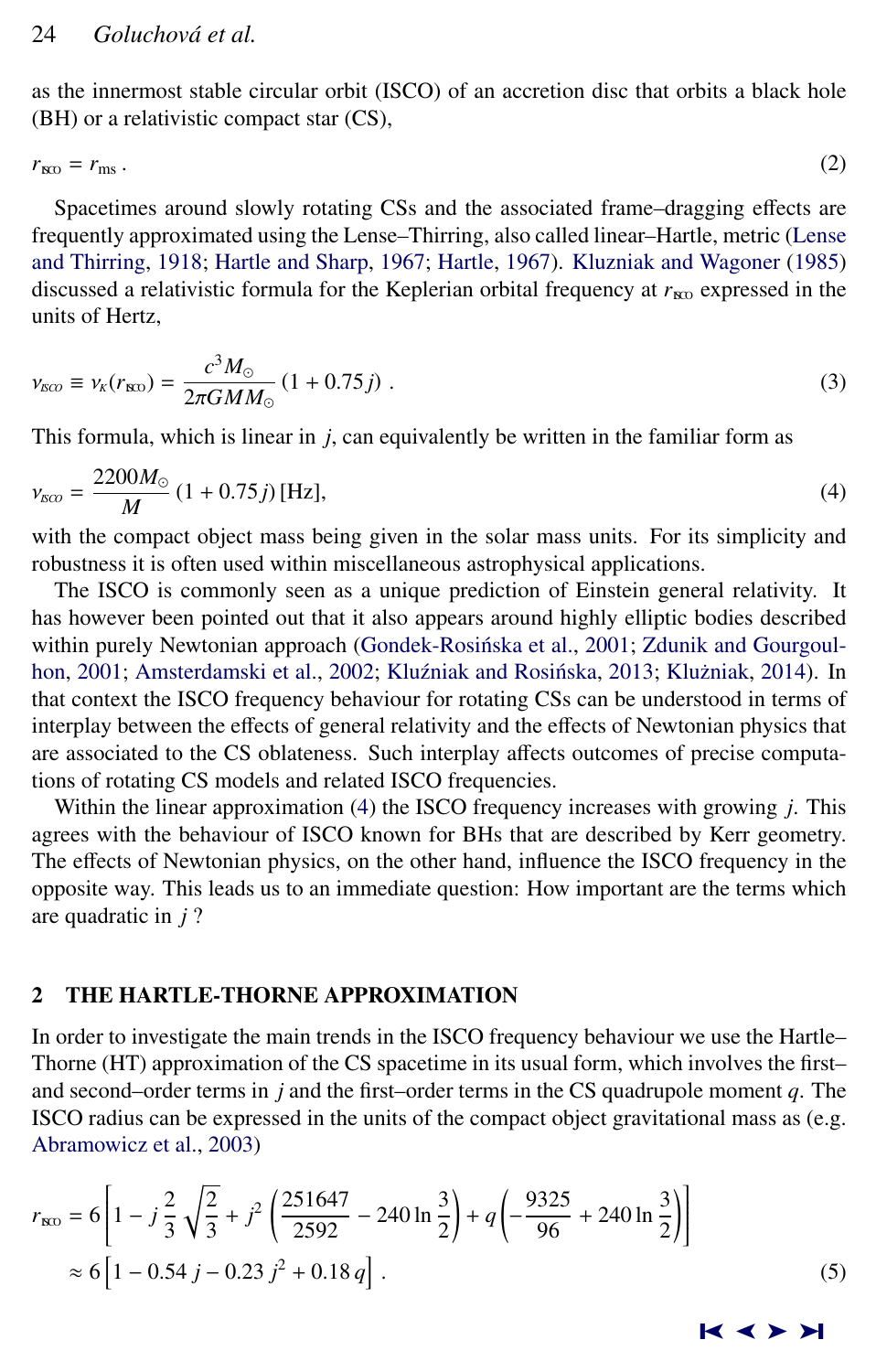<span id="page-1-0"></span>as the innermost stable circular orbit (ISCO) of an accretion disc that orbits a black hole (BH) or a relativistic compact star (CS),

 $r_{\text{SO}} = r_{\text{ms}}$ . (2)

Spacetimes around slowly rotating CSs and the associated frame–dragging effects are frequently approximated using the Lense–Thirring, also called linear–Hartle, metric [\(Lense](#page-9-0) [and Thirring,](#page-9-0) [1918;](#page-9-0) [Hartle and Sharp,](#page-9-0) [1967;](#page-9-0) [Hartle,](#page-8-0) [1967\)](#page-8-0). [Kluzniak and Wagoner](#page-9-0) [\(1985\)](#page-9-0) discussed a relativistic formula for the Keplerian orbital frequency at  $r_{N0}$  expressed in the units of Hertz,

$$
\nu_{\rm BCO} \equiv \nu_{\rm K}(r_{\rm BCO}) = \frac{c^3 M_{\odot}}{2\pi G M M_{\odot}} (1 + 0.75 j) \ . \tag{3}
$$

This formula, which is linear in *j*, can equivalently be written in the familiar form as

$$
\nu_{\rm SC} = \frac{2200M_{\odot}}{M} \left(1 + 0.75j\right) \text{[Hz]},\tag{4}
$$

with the compact object mass being given in the solar mass units. For its simplicity and robustness it is often used within miscellaneous astrophysical applications.

The ISCO is commonly seen as a unique prediction of Einstein general relativity. It has however been pointed out that it also appears around highly elliptic bodies described within purely Newtonian approach (Gondek-Rosińska et al., [2001;](#page-8-0) [Zdunik and Gourgoul](#page-9-0)[hon,](#page-9-0) [2001;](#page-9-0) [Amsterdamski et al.,](#page-8-0) [2002;](#page-8-0) Kluźniak and Rosińska, [2013;](#page-9-0) Klużniak, [2014\)](#page-9-0). In that context the ISCO frequency behaviour for rotating CSs can be understood in terms of interplay between the effects of general relativity and the effects of Newtonian physics that are associated to the CS oblateness. Such interplay affects outcomes of precise computations of rotating CS models and related ISCO frequencies.

Within the linear approximation (4) the ISCO frequency increases with growing *j*. This agrees with the behaviour of ISCO known for BHs that are described by Kerr geometry. The effects of Newtonian physics, on the other hand, influence the ISCO frequency in the opposite way. This leads us to an immediate question: How important are the terms which are quadratic in *j* ?

### 2 THE HARTLE-THORNE APPROXIMATION

In order to investigate the main trends in the ISCO frequency behaviour we use the Hartle– Thorne (HT) approximation of the CS spacetime in its usual form, which involves the first– and second–order terms in *j* and the first–order terms in the CS quadrupole moment *q*. The ISCO radius can be expressed in the units of the compact object gravitational mass as (e.g. [Abramowicz et al.,](#page-8-0) [2003\)](#page-8-0)

$$
r_{\text{RO}} = 6\left[1 - j\frac{2}{3}\sqrt{\frac{2}{3}} + j^2\left(\frac{251647}{2592} - 240\ln\frac{3}{2}\right) + q\left(-\frac{9325}{96} + 240\ln\frac{3}{2}\right)\right]
$$
  
\approx 6\left[1 - 0.54 j - 0.23 j^2 + 0.18 q\right]. (5)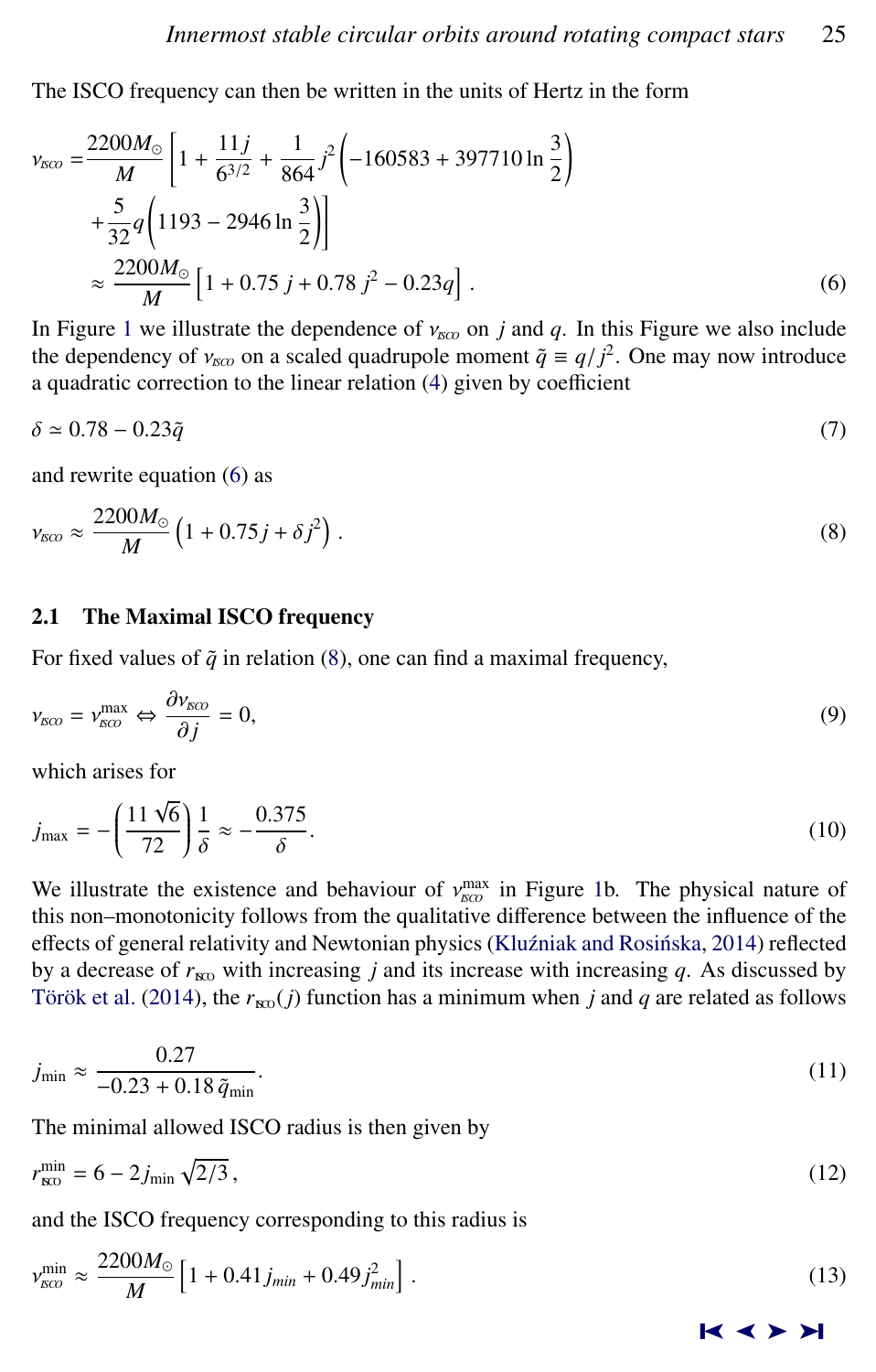<span id="page-2-0"></span>The ISCO frequency can then be written in the units of Hertz in the form

$$
v_{\text{KCO}} = \frac{2200M_{\odot}}{M} \left[ 1 + \frac{11j}{6^{3/2}} + \frac{1}{864} j^2 \left( -160583 + 397710 \ln \frac{3}{2} \right) + \frac{5}{32} q \left( 1193 - 2946 \ln \frac{3}{2} \right) \right]
$$
  

$$
\approx \frac{2200M_{\odot}}{M} \left[ 1 + 0.75 j + 0.78 j^2 - 0.23q \right].
$$
 (6)

In Figure [1](#page-3-0) we illustrate the dependence of  $v_{I K C O}$  on *j* and *q*. In this Figure we also include the dependency of  $v_{\text{SCO}}$  on a scaled quadrupole moment  $\tilde{q} \equiv q/\tilde{j}^2$ . One may now introduce a quadratic correction to the linear relation [\(4\)](#page-1-0) given by coefficient

$$
\delta \simeq 0.78 - 0.23\tilde{q} \tag{7}
$$

and rewrite equation (6) as

$$
\nu_{\rm SCO} \approx \frac{2200M_{\odot}}{M} \left(1 + 0.75j + \delta j^2\right). \tag{8}
$$

#### 2.1 The Maximal ISCO frequency

For fixed values of  $\tilde{q}$  in relation (8), one can find a maximal frequency,

$$
\nu_{\rm SCO} = \nu_{\rm SCO}^{\rm max} \Leftrightarrow \frac{\partial \nu_{\rm SCO}}{\partial j} = 0,
$$
\n(9)

which arises for

$$
j_{\text{max}} = -\left(\frac{11\sqrt{6}}{72}\right)\frac{1}{\delta} \approx -\frac{0.375}{\delta}.\tag{10}
$$

We illustrate the existence and behaviour of  $v_{\text{ECO}}^{\text{max}}$  in Figure [1b](#page-3-0). The physical nature of the this pon-monotonicity follows from the qualitative difference between the influence of the this non–monotonicity follows from the qualitative difference between the influence of the effects of general relativity and Newtonian physics (Kluźniak and Rosińska, [2014\)](#page-9-0) reflected by a decrease of  $r_{\text{RO}}$  with increasing *j* and its increase with increasing *q*. As discussed by Török et al. [\(2014\)](#page-9-0), the  $r_{\text{RO}}(j)$  function has a minimum when *j* and *q* are related as follows

$$
j_{\min} \approx \frac{0.27}{-0.23 + 0.18 \,\tilde{q}_{\min}}.\tag{11}
$$

The minimal allowed ISCO radius is then given by

$$
r_{\rm iso}^{\rm min} = 6 - 2j_{\rm min} \sqrt{2/3} \,, \tag{12}
$$

and the ISCO frequency corresponding to this radius is

$$
v_{\rm sco}^{\rm min} \approx \frac{2200M_{\odot}}{M} \left[ 1 + 0.41 j_{\rm min} + 0.49 j_{\rm min}^2 \right]. \tag{13}
$$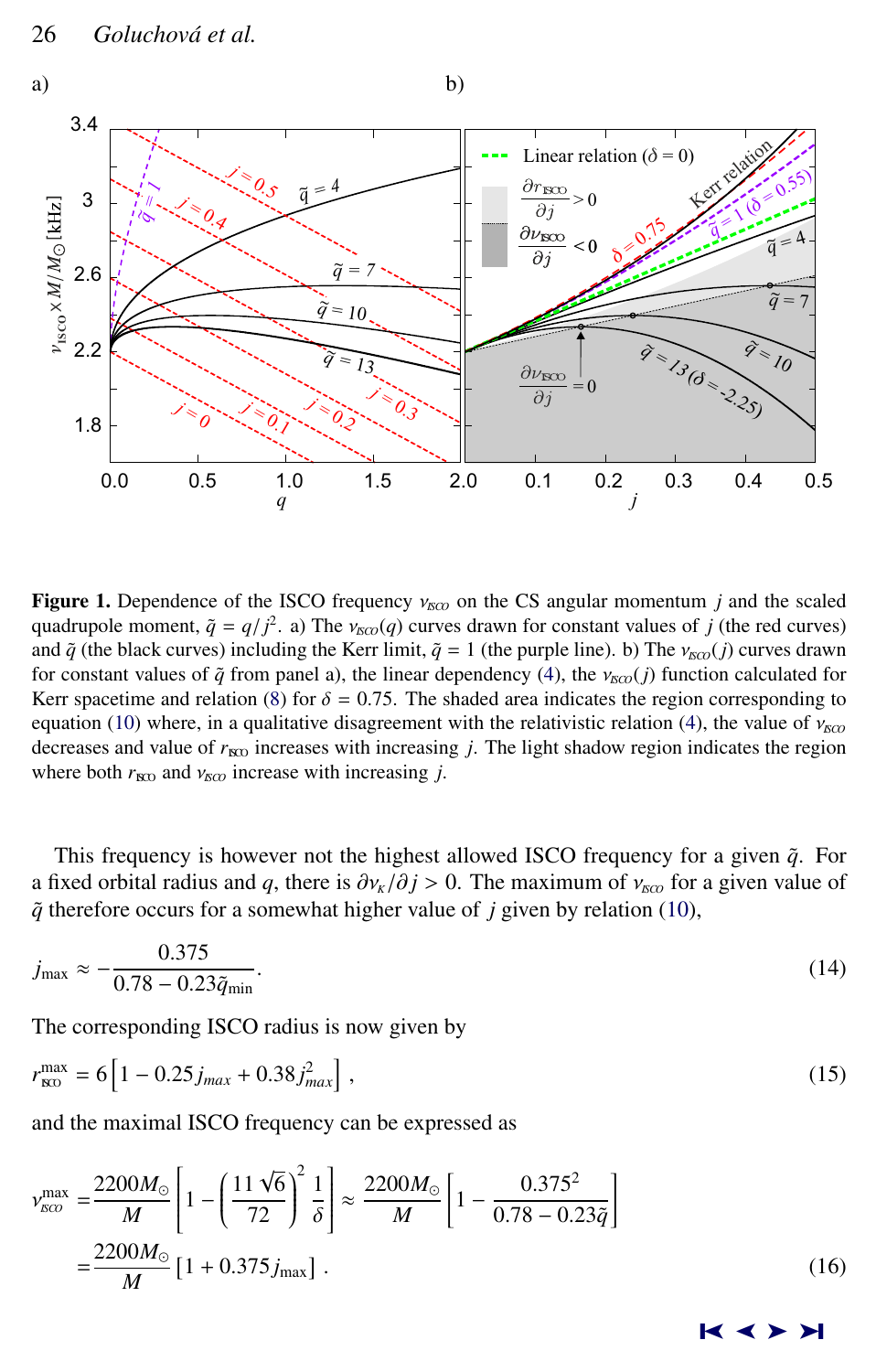<span id="page-3-0"></span>

**Figure 1.** Dependence of the ISCO frequency  $v_{ECD}$  on the CS angular momentum *j* and the scaled quadrupole moment,  $\tilde{q} = q/\dot{f}^2$ . a) The  $v_{\text{ISCO}}(q)$  curves drawn for constant values of *j* (the red curves) and  $\tilde{q}$  (the black curves) including the Kerr limit  $\tilde{q} = 1$  (the purple line) b) The  $v = \tilde{q}$  c and  $\tilde{q}$  (the black curves) including the Kerr limit,  $\tilde{q} = 1$  (the purple line). b) The  $v_{\tilde{p}(q)}(j)$  curves drawn for constant values of  $\tilde{q}$  from panel a), the linear dependency [\(4\)](#page-1-0), the  $v_{\text{KCO}}(j)$  function calculated for Kerr spacetime and relation [\(8\)](#page-2-0) for  $\delta = 0.75$ . The shaded area indicates the region corresponding to equation [\(10\)](#page-2-0) where, in a qualitative disagreement with the relativistic relation [\(4\)](#page-1-0), the value of  $v_{\text{SCO}}$ decreases and value of  $r_{\text{NO}}$  increases with increasing *j*. The light shadow region indicates the region where both  $r_{\text{RO}}$  and  $v_{\text{RO}}$  increase with increasing *j*.

This frequency is however not the highest allowed ISCO frequency for a given  $\tilde{q}$ . For a fixed orbital radius and *q*, there is  $\partial v_k/\partial j > 0$ . The maximum of  $v_{KQ}$  for a given value of  $\tilde{q}$  therefore occurs for a somewhat higher value of *j* given by relation [\(10\)](#page-2-0),

$$
j_{\max} \approx -\frac{0.375}{0.78 - 0.23\tilde{q}_{\min}}.\tag{14}
$$

The corresponding ISCO radius is now given by

$$
r_{\rm xD}^{\rm max} = 6 \left[ 1 - 0.25 j_{\rm max} + 0.38 j_{\rm max}^2 \right],\tag{15}
$$

and the maximal ISCO frequency can be expressed as

$$
\nu_{\rm gco}^{\rm max} = \frac{2200M_{\odot}}{M} \left[ 1 - \left( \frac{11\sqrt{6}}{72} \right)^2 \frac{1}{\delta} \right] \approx \frac{2200M_{\odot}}{M} \left[ 1 - \frac{0.375^2}{0.78 - 0.23\tilde{q}} \right]
$$

$$
= \frac{2200M_{\odot}}{M} \left[ 1 + 0.375 j_{\rm max} \right].
$$
(16)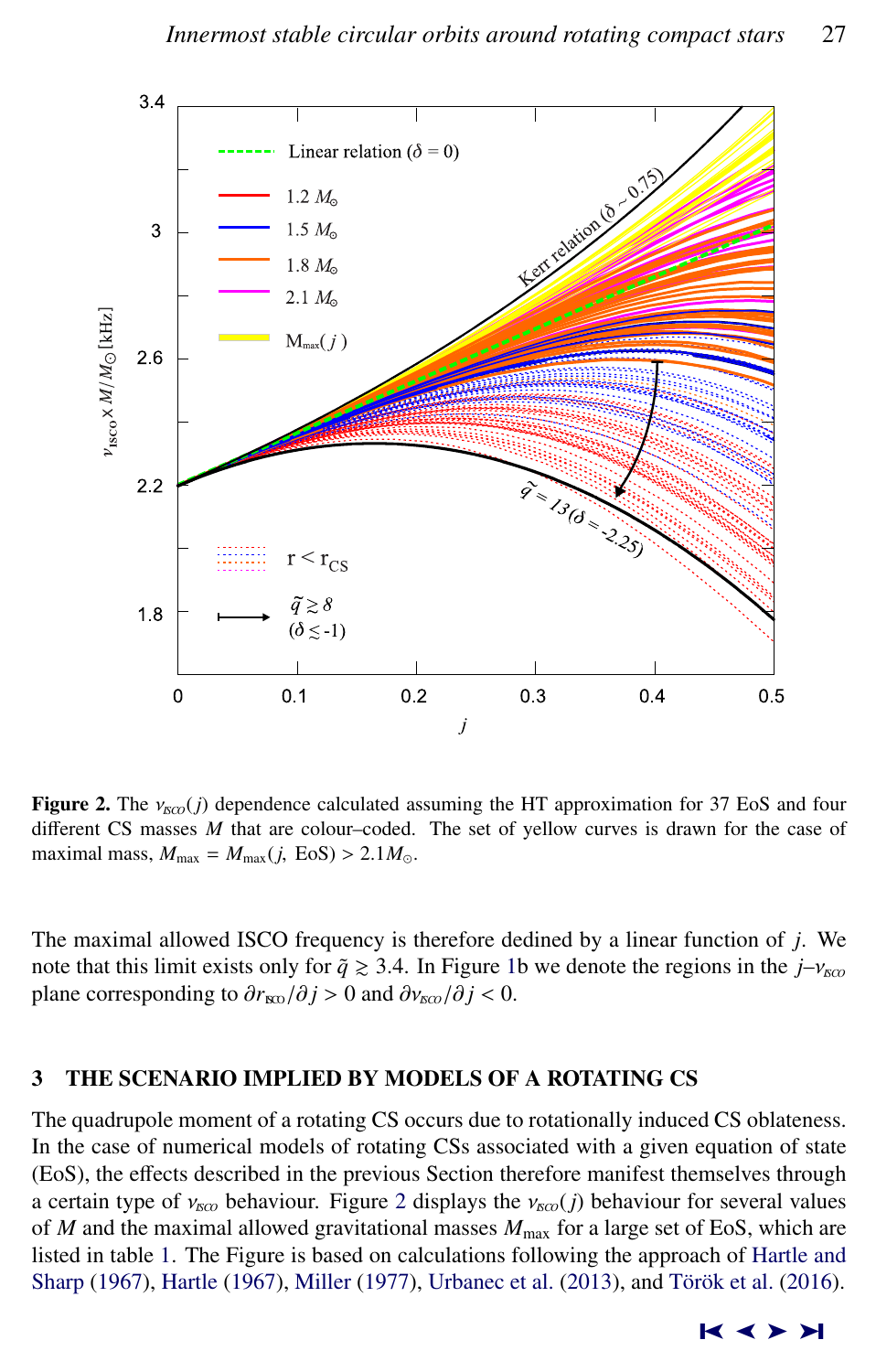<span id="page-4-0"></span>

**Figure 2.** The  $v_{\text{ECO}}(j)$  dependence calculated assuming the HT approximation for 37 EoS and four different CS masses *M* that are colour–coded. The set of yellow curves is drawn for the case of maximal mass,  $M_{\text{max}} = M_{\text{max}}(j, \text{EoS}) > 2.1 M_{\odot}$ .

The maximal allowed ISCO frequency is therefore dedined by a linear function of *j*. We note that this limit exists only for  $\tilde{q} \ge 3.4$ . In Figure [1b](#page-3-0) we denote the regions in the  $j-\nu_{\text{ISCO}}$ plane corresponding to  $\frac{\partial r_{\text{NO}}}{\partial j} > 0$  and  $\frac{\partial v_{\text{NO}}}{\partial j} < 0$ .

#### 3 THE SCENARIO IMPLIED BY MODELS OF A ROTATING CS

The quadrupole moment of a rotating CS occurs due to rotationally induced CS oblateness. In the case of numerical models of rotating CSs associated with a given equation of state (EoS), the effects described in the previous Section therefore manifest themselves through a certain type of  $v_{\text{rso}}$  behaviour. Figure 2 displays the  $v_{\text{rso}}(j)$  behaviour for several values of  $M$  and the maximal allowed gravitational masses  $M_{\text{max}}$  for a large set of EoS, which are listed in table [1.](#page-7-0) The Figure is based on calculations following the approach of [Hartle and](#page-9-0) [Sharp](#page-9-0) [\(1967\)](#page-8-0), [Hartle](#page-8-0) (1967), [Miller](#page-9-0) [\(1977\)](#page-9-0), [Urbanec et al.](#page-9-0) [\(2013\)](#page-9-0), and Török et al. [\(2016\)](#page-9-0).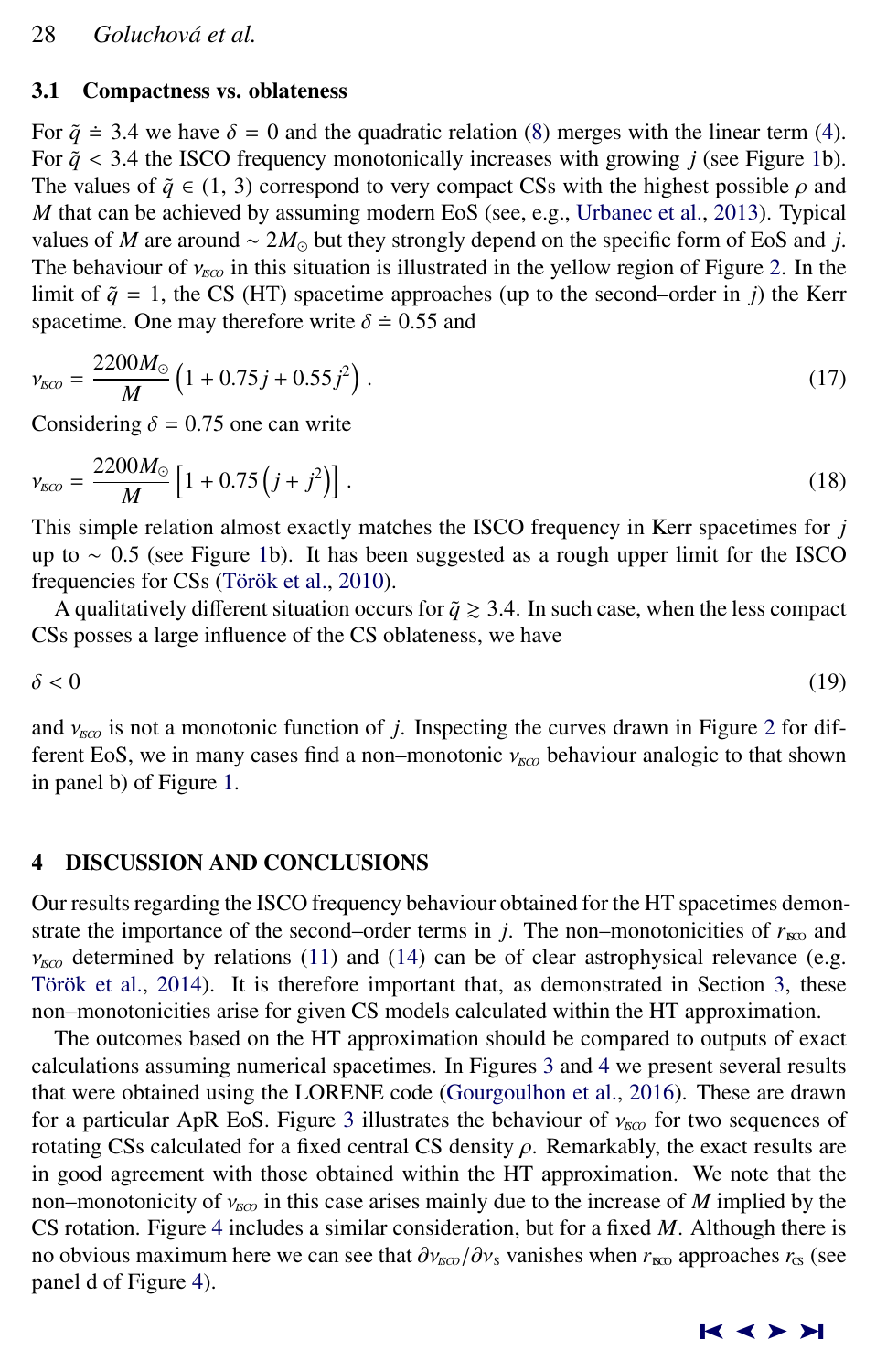#### 3.1 Compactness vs. oblateness

For  $\tilde{q} \doteq 3.4$  we have  $\delta = 0$  and the quadratic relation [\(8\)](#page-2-0) merges with the linear term [\(4\)](#page-1-0). For  $\tilde{q}$  < 3.4 the ISCO frequency monotonically increases with growing *j* (see Figure [1b](#page-3-0)). The values of  $\tilde{q} \in (1, 3)$  correspond to very compact CSs with the highest possible  $\rho$  and *M* that can be achieved by assuming modern EoS (see, e.g., [Urbanec et al.,](#page-9-0) [2013\)](#page-9-0). Typical values of *M* are around  $\sim 2M_{\odot}$  but they strongly depend on the specific form of EoS and *j*. The behaviour of  $v_{\text{NCO}}$  in this situation is illustrated in the yellow region of Figure [2.](#page-4-0) In the limit of  $\tilde{q} = 1$ , the CS (HT) spacetime approaches (up to the second–order in *j*) the Kerr spacetime. One may therefore write  $\delta \doteq 0.55$  and

$$
\nu_{\rm SCO} = \frac{2200M_{\odot}}{M} \left(1 + 0.75j + 0.55j^2\right). \tag{17}
$$

Considering  $\delta = 0.75$  one can write

$$
\nu_{sco} = \frac{2200M_{\odot}}{M} \left[ 1 + 0.75 \left( j + j^2 \right) \right]. \tag{18}
$$

This simple relation almost exactly matches the ISCO frequency in Kerr spacetimes for *j* up to <sup>∼</sup> <sup>0</sup>.5 (see Figure [1b](#page-3-0)). It has been suggested as a rough upper limit for the ISCO frequencies for CSs (Török et al., [2010\)](#page-9-0).

A qualitatively different situation occurs for  $\tilde{q} \ge 3.4$ . In such case, when the less compact CSs posses a large influence of the CS oblateness, we have

$$
\delta < 0 \tag{19}
$$

and  $v_{\text{FCO}}$  is not a monotonic function of *j*. Inspecting the curves drawn in Figure [2](#page-4-0) for different EoS, we in many cases find a non–monotonic  $v_{\text{FCO}}$  behaviour analogic to that shown in panel b) of Figure [1.](#page-3-0)

#### 4 DISCUSSION AND CONCLUSIONS

Our results regarding the ISCO frequency behaviour obtained for the HT spacetimes demonstrate the importance of the second–order terms in *j*. The non–monotonicities of  $r_{\text{RO}}$  and  $v_{I K C}$  determined by relations [\(11\)](#page-2-0) and [\(14\)](#page-3-0) can be of clear astrophysical relevance (e.g. Török et al., [2014\)](#page-9-0). It is therefore important that, as demonstrated in Section [3,](#page-4-0) these non–monotonicities arise for given CS models calculated within the HT approximation.

The outcomes based on the HT approximation should be compared to outputs of exact calculations assuming numerical spacetimes. In Figures [3](#page-6-0) and [4](#page-6-0) we present several results that were obtained using the LORENE code [\(Gourgoulhon et al.,](#page-8-0) [2016\)](#page-8-0). These are drawn for a particular ApR EoS. Figure [3](#page-6-0) illustrates the behaviour of  $v_{KCO}$  for two sequences of rotating CSs calculated for a fixed central CS density  $\rho$ . Remarkably, the exact results are in good agreement with those obtained within the HT approximation. We note that the non–monotonicity of  $ν_{\text{NCO}}$  in this case arises mainly due to the increase of *M* implied by the CS rotation. Figure [4](#page-6-0) includes a similar consideration, but for a fixed *M*. Although there is no obvious maximum here we can see that  $\partial v_{\text{SLO}}/\partial v_{\text{S}}$  vanishes when  $r_{\text{IB}}$  approaches  $r_{\text{CS}}$  (see panel d of Figure [4\)](#page-6-0).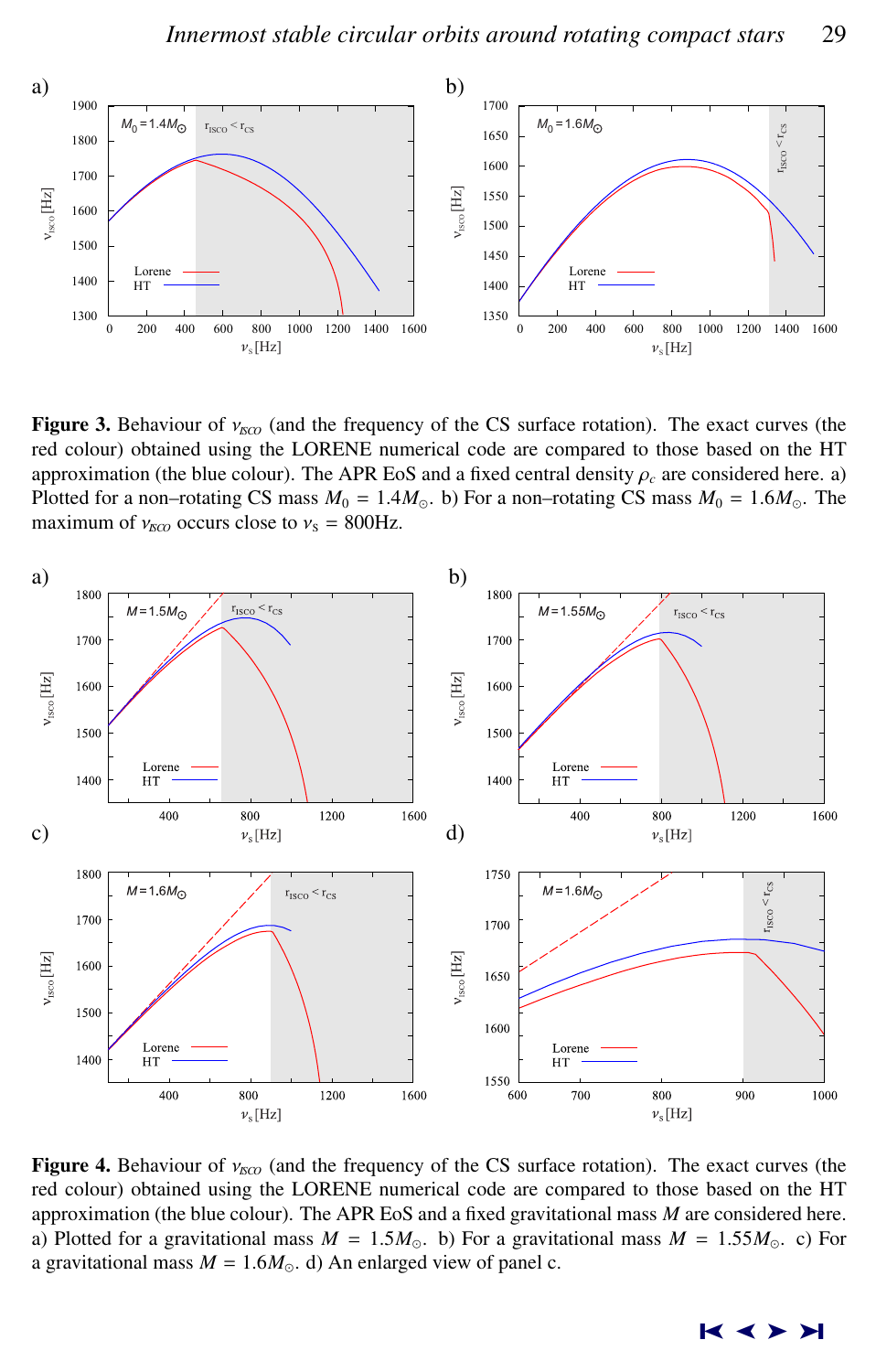<span id="page-6-0"></span>

**Figure 3.** Behaviour of  $v_{\text{KCO}}$  (and the frequency of the CS surface rotation). The exact curves (the red colour) obtained using the LORENE numerical code are compared to those based on the HT approximation (the blue colour). The APR EoS and a fixed central density  $\rho_c$  are considered here. a) Plotted for a non–rotating CS mass  $M_0 = 1.4M_{\odot}$ . b) For a non–rotating CS mass  $M_0 = 1.6M_{\odot}$ . The maximum of  $v_{\text{RCD}}$  occurs close to  $v_s = 800 \text{Hz}$ .



**Figure 4.** Behaviour of  $v_{\text{KCO}}$  (and the frequency of the CS surface rotation). The exact curves (the red colour) obtained using the LORENE numerical code are compared to those based on the HT approximation (the blue colour). The APR EoS and a fixed gravitational mass *M* are considered here. a) Plotted for a gravitational mass  $M = 1.5M_{\odot}$ . b) For a gravitational mass  $M = 1.55M_{\odot}$ . c) For a gravitational mass  $M = 1.6M_{\odot}$ . d) An enlarged view of panel c.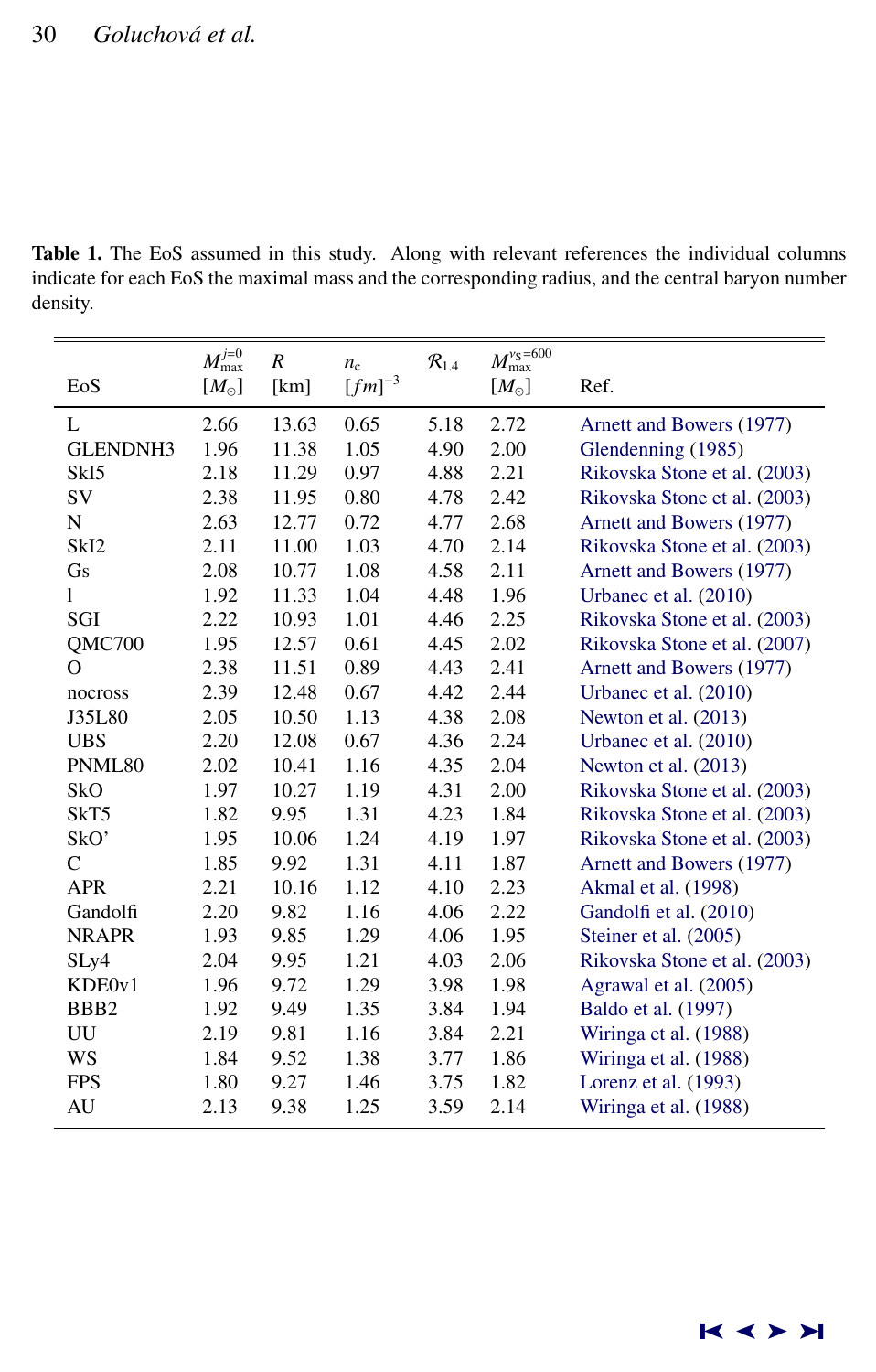<span id="page-7-0"></span>Table 1. The EoS assumed in this study. Along with relevant references the individual columns indicate for each EoS the maximal mass and the corresponding radius, and the central baryon number density.

|                  | $M_{\rm max}^{j=0}$ | $\cal R$ |                            |                     | $M_{\rm max}^{\nu_{\rm S}=600}$ |                              |
|------------------|---------------------|----------|----------------------------|---------------------|---------------------------------|------------------------------|
| EoS              | $[M_{\odot}]$       | [km]     | $n_{\rm c}$<br>$[fm]^{-3}$ | $\mathcal{R}_{1.4}$ | $[M_{\odot}]$                   | Ref.                         |
|                  |                     |          |                            |                     |                                 |                              |
| L                | 2.66                | 13.63    | 0.65                       | 5.18                | 2.72                            | Arnett and Bowers (1977)     |
| <b>GLENDNH3</b>  | 1.96                | 11.38    | 1.05                       | 4.90                | 2.00                            | Glendenning (1985)           |
| SkI <sub>5</sub> | 2.18                | 11.29    | 0.97                       | 4.88                | 2.21                            | Rikovska Stone et al. (2003) |
| SV               | 2.38                | 11.95    | 0.80                       | 4.78                | 2.42                            | Rikovska Stone et al. (2003) |
| N                | 2.63                | 12.77    | 0.72                       | 4.77                | 2.68                            | Arnett and Bowers (1977)     |
| SkI <sub>2</sub> | 2.11                | 11.00    | 1.03                       | 4.70                | 2.14                            | Rikovska Stone et al. (2003) |
| Gs               | 2.08                | 10.77    | 1.08                       | 4.58                | 2.11                            | Arnett and Bowers (1977)     |
| 1                | 1.92                | 11.33    | 1.04                       | 4.48                | 1.96                            | Urbanec et al. (2010)        |
| SGI              | 2.22                | 10.93    | 1.01                       | 4.46                | 2.25                            | Rikovska Stone et al. (2003) |
| QMC700           | 1.95                | 12.57    | 0.61                       | 4.45                | 2.02                            | Rikovska Stone et al. (2007) |
| $\Omega$         | 2.38                | 11.51    | 0.89                       | 4.43                | 2.41                            | Arnett and Bowers (1977)     |
| nocross          | 2.39                | 12.48    | 0.67                       | 4.42                | 2.44                            | Urbanec et al. (2010)        |
| J35L80           | 2.05                | 10.50    | 1.13                       | 4.38                | 2.08                            | Newton et al. (2013)         |
| <b>UBS</b>       | 2.20                | 12.08    | 0.67                       | 4.36                | 2.24                            | Urbanec et al. (2010)        |
| PNML80           | 2.02                | 10.41    | 1.16                       | 4.35                | 2.04                            | Newton et al. (2013)         |
| SkO              | 1.97                | 10.27    | 1.19                       | 4.31                | 2.00                            | Rikovska Stone et al. (2003) |
| SkT5             | 1.82                | 9.95     | 1.31                       | 4.23                | 1.84                            | Rikovska Stone et al. (2003) |
| SkO'             | 1.95                | 10.06    | 1.24                       | 4.19                | 1.97                            | Rikovska Stone et al. (2003) |
| $\mathcal{C}$    | 1.85                | 9.92     | 1.31                       | 4.11                | 1.87                            | Arnett and Bowers (1977)     |
| <b>APR</b>       | 2.21                | 10.16    | 1.12                       | 4.10                | 2.23                            | Akmal et al. (1998)          |
| Gandolfi         | 2.20                | 9.82     | 1.16                       | 4.06                | 2.22                            | Gandolfi et al. (2010)       |
| <b>NRAPR</b>     | 1.93                | 9.85     | 1.29                       | 4.06                | 1.95                            | Steiner et al. (2005)        |
| SLy4             | 2.04                | 9.95     | 1.21                       | 4.03                | 2.06                            | Rikovska Stone et al. (2003) |
| KDE0v1           | 1.96                | 9.72     | 1.29                       | 3.98                | 1.98                            | Agrawal et al. (2005)        |
| BB <sub>B2</sub> | 1.92                | 9.49     | 1.35                       | 3.84                | 1.94                            | Baldo et al. (1997)          |
| UU               | 2.19                | 9.81     | 1.16                       | 3.84                | 2.21                            | Wiringa et al. (1988)        |
| WS               | 1.84                | 9.52     | 1.38                       | 3.77                | 1.86                            | Wiringa et al. (1988)        |
| <b>FPS</b>       | 1.80                | 9.27     | 1.46                       | 3.75                | 1.82                            | Lorenz et al. (1993)         |
| AU               | 2.13                | 9.38     | 1.25                       | 3.59                | 2.14                            | Wiringa et al. (1988)        |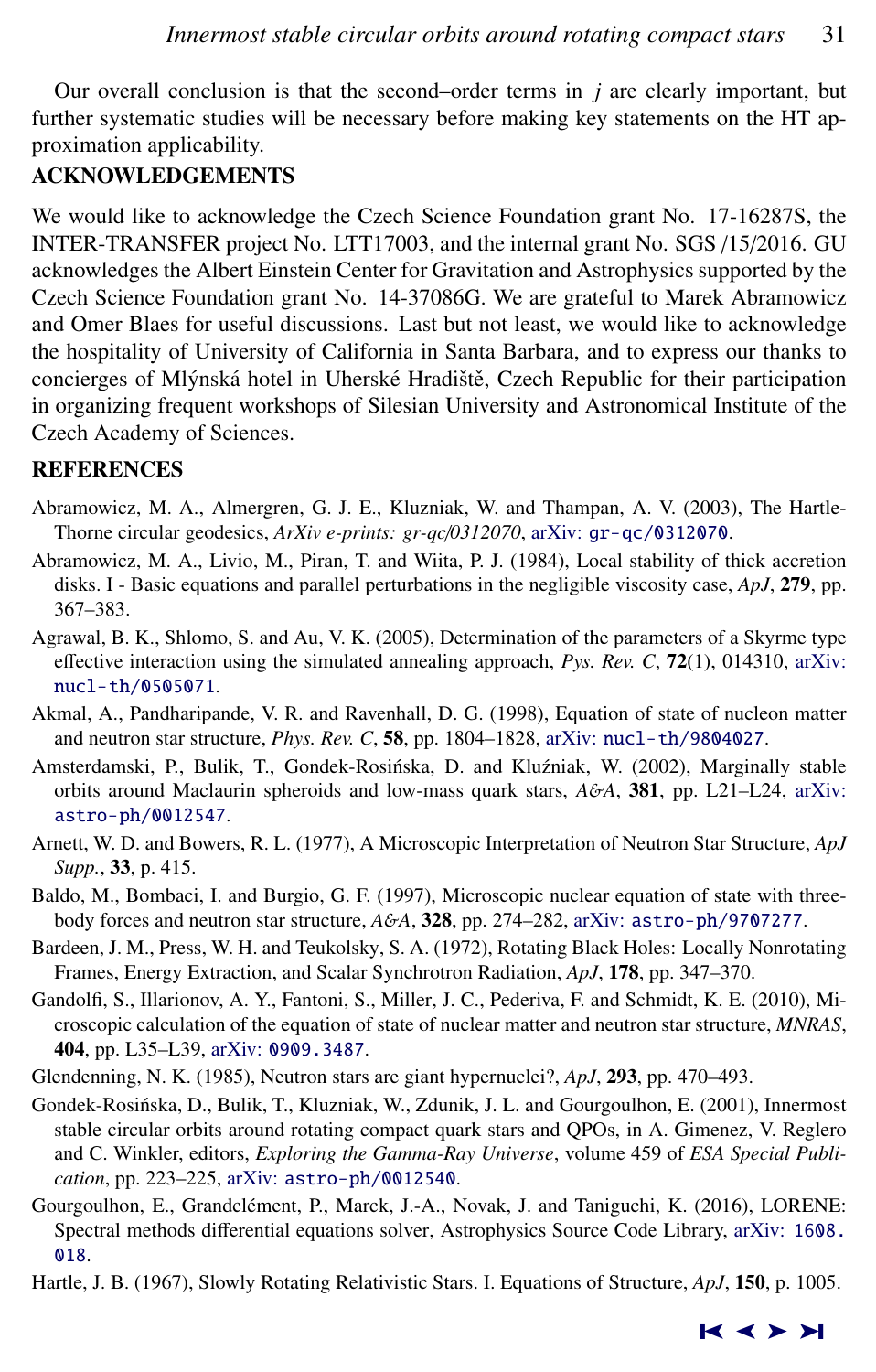<span id="page-8-0"></span>Our overall conclusion is that the second–order terms in *j* are clearly important, but further systematic studies will be necessary before making key statements on the HT approximation applicability.

## ACKNOWLEDGEMENTS

We would like to acknowledge the Czech Science Foundation grant No. 17-16287S, the INTER-TRANSFER project No. LTT17003, and the internal grant No. SGS /15/2016. GU acknowledges the Albert Einstein Center for Gravitation and Astrophysics supported by the Czech Science Foundation grant No. 14-37086G. We are grateful to Marek Abramowicz and Omer Blaes for useful discussions. Last but not least, we would like to acknowledge the hospitality of University of California in Santa Barbara, and to express our thanks to concierges of Mlýnská hotel in Uherské Hradiště, Czech Republic for their participation in organizing frequent workshops of Silesian University and Astronomical Institute of the Czech Academy of Sciences.

# **REFERENCES**

- Abramowicz, M. A., Almergren, G. J. E., Kluzniak, W. and Thampan, A. V. (2003), The Hartle-Thorne circular geodesics, *ArXiv e-prints: gr-qc*/*0312070*, arXiv: [gr-qc/0312070](http://www.arxiv.org/abs/gr-qc/0312070).
- Abramowicz, M. A., Livio, M., Piran, T. and Wiita, P. J. (1984), Local stability of thick accretion disks. I - Basic equations and parallel perturbations in the negligible viscosity case, *ApJ*, 279, pp. 367–383.
- Agrawal, B. K., Shlomo, S. and Au, V. K. (2005), Determination of the parameters of a Skyrme type effective interaction using the simulated annealing approach, *Pys. Rev. C*, 72(1), 014310, [arXiv:](http://www.arxiv.org/abs/nucl-th/0505071) [nucl-th/0505071](http://www.arxiv.org/abs/nucl-th/0505071).
- Akmal, A., Pandharipande, V. R. and Ravenhall, D. G. (1998), Equation of state of nucleon matter and neutron star structure, *Phys. Rev. C*, 58, pp. 1804–1828, arXiv: [nucl-th/9804027](http://www.arxiv.org/abs/nucl-th/9804027).
- Amsterdamski, P., Bulik, T., Gondek-Rosińska, D. and Kluźniak, W. (2002), Marginally stable orbits around Maclaurin spheroids and low-mass quark stars, *A*&*A*, 381, pp. L21–L24, [arXiv:](http://www.arxiv.org/abs/astro-ph/0012547) [astro-ph/0012547](http://www.arxiv.org/abs/astro-ph/0012547).
- Arnett, W. D. and Bowers, R. L. (1977), A Microscopic Interpretation of Neutron Star Structure, *ApJ Supp.*, 33, p. 415.
- Baldo, M., Bombaci, I. and Burgio, G. F. (1997), Microscopic nuclear equation of state with threebody forces and neutron star structure, *A*&*A*, 328, pp. 274–282, arXiv: [astro-ph/9707277](http://www.arxiv.org/abs/astro-ph/9707277).
- Bardeen, J. M., Press, W. H. and Teukolsky, S. A. (1972), Rotating Black Holes: Locally Nonrotating Frames, Energy Extraction, and Scalar Synchrotron Radiation, *ApJ*, 178, pp. 347–370.
- Gandolfi, S., Illarionov, A. Y., Fantoni, S., Miller, J. C., Pederiva, F. and Schmidt, K. E. (2010), Microscopic calculation of the equation of state of nuclear matter and neutron star structure, *MNRAS*, 404, pp. L35–L39, arXiv: [0909.3487](http://www.arxiv.org/abs/0909.3487).
- Glendenning, N. K. (1985), Neutron stars are giant hypernuclei?, *ApJ*, 293, pp. 470–493.
- Gondek-Rosinska, D., Bulik, T., Kluzniak, W., Zdunik, J. L. and Gourgoulhon, E. (2001), Innermost ´ stable circular orbits around rotating compact quark stars and QPOs, in A. Gimenez, V. Reglero and C. Winkler, editors, *Exploring the Gamma-Ray Universe*, volume 459 of *ESA Special Publication*, pp. 223–225, arXiv: [astro-ph/0012540](http://www.arxiv.org/abs/astro-ph/0012540).
- Gourgoulhon, E., Grandclément, P., Marck, J.-A., Novak, J. and Taniguchi, K. (2016), LORENE: Spectral methods differential equations solver, Astrophysics Source Code Library, arXiv: [1608.](http://www.arxiv.org/abs/1608.018) [018](http://www.arxiv.org/abs/1608.018).
- Hartle, J. B. (1967), Slowly Rotating Relativistic Stars. I. Equations of Structure, *ApJ*, 150, p. 1005.